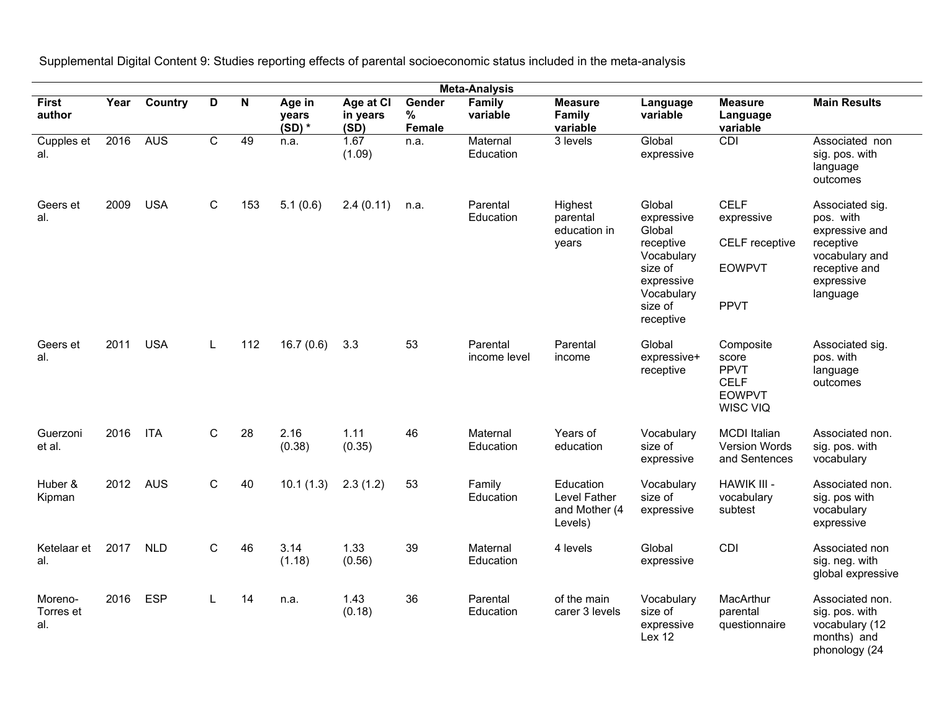Supplemental Digital Content 9: Studies reporting effects of parental socioeconomic status included in the meta-analysis

| <b>Meta-Analysis</b>        |      |            |              |                         |                             |                               |                       |                          |                                                       |                                                                                                                          |                                                                               |                                                                                                                          |
|-----------------------------|------|------------|--------------|-------------------------|-----------------------------|-------------------------------|-----------------------|--------------------------|-------------------------------------------------------|--------------------------------------------------------------------------------------------------------------------------|-------------------------------------------------------------------------------|--------------------------------------------------------------------------------------------------------------------------|
| <b>First</b><br>author      | Year | Country    | D            | $\overline{\mathbf{N}}$ | Age in<br>vears<br>$(SD)$ * | Age at CI<br>in years<br>(SD) | Gender<br>%<br>Female | Family<br>variable       | <b>Measure</b><br>Family<br>variable                  | Language<br>variable                                                                                                     | <b>Measure</b><br>Language<br>variable                                        | <b>Main Results</b>                                                                                                      |
| Cupples et<br>al.           | 2016 | <b>AUS</b> | C            | 49                      | n.a.                        | 1.67<br>(1.09)                | n.a.                  | Maternal<br>Education    | 3 levels                                              | Global<br>expressive                                                                                                     | <b>CDI</b>                                                                    | Associated non<br>sig. pos. with<br>language<br>outcomes                                                                 |
| Geers et<br>al.             | 2009 | <b>USA</b> | $\mathsf C$  | 153                     | 5.1(0.6)                    | 2.4(0.11)                     | n.a.                  | Parental<br>Education    | Highest<br>parental<br>education in<br>years          | Global<br>expressive<br>Global<br>receptive<br>Vocabulary<br>size of<br>expressive<br>Vocabulary<br>size of<br>receptive | <b>CELF</b><br>expressive<br>CELF receptive<br><b>EOWPVT</b><br><b>PPVT</b>   | Associated sig.<br>pos. with<br>expressive and<br>receptive<br>vocabulary and<br>receptive and<br>expressive<br>language |
| Geers et<br>al.             | 2011 | <b>USA</b> | Г            | 112                     | 16.7(0.6)                   | 3.3                           | 53                    | Parental<br>income level | Parental<br>income                                    | Global<br>expressive+<br>receptive                                                                                       | Composite<br>score<br><b>PPVT</b><br><b>CELF</b><br><b>EOWPVT</b><br>WISC VIQ | Associated sig.<br>pos. with<br>language<br>outcomes                                                                     |
| Guerzoni<br>et al.          | 2016 | <b>ITA</b> | $\mathsf{C}$ | 28                      | 2.16<br>(0.38)              | 1.11<br>(0.35)                | 46                    | Maternal<br>Education    | Years of<br>education                                 | Vocabulary<br>size of<br>expressive                                                                                      | <b>MCDI</b> Italian<br><b>Version Words</b><br>and Sentences                  | Associated non.<br>sig. pos. with<br>vocabulary                                                                          |
| Huber &<br>Kipman           | 2012 | AUS        | $\mathsf{C}$ | 40                      | 10.1(1.3)                   | 2.3(1.2)                      | 53                    | Family<br>Education      | Education<br>Level Father<br>and Mother (4<br>Levels) | Vocabulary<br>size of<br>expressive                                                                                      | HAWIK III -<br>vocabulary<br>subtest                                          | Associated non.<br>sig. pos with<br>vocabulary<br>expressive                                                             |
| Ketelaar et<br>al.          | 2017 | <b>NLD</b> | $\mathsf C$  | 46                      | 3.14<br>(1.18)              | 1.33<br>(0.56)                | 39                    | Maternal<br>Education    | 4 levels                                              | Global<br>expressive                                                                                                     | CDI                                                                           | Associated non<br>sig. neg. with<br>global expressive                                                                    |
| Moreno-<br>Torres et<br>al. | 2016 | <b>ESP</b> | $\mathbf{I}$ | 14                      | n.a.                        | 1.43<br>(0.18)                | 36                    | Parental<br>Education    | of the main<br>carer 3 levels                         | Vocabulary<br>size of<br>expressive<br>Lex 12                                                                            | MacArthur<br>parental<br>questionnaire                                        | Associated non.<br>sig. pos. with<br>vocabulary (12<br>months) and<br>phonology (24                                      |